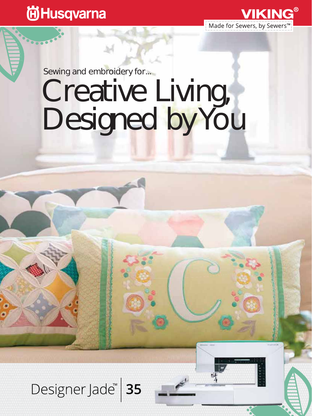### **尚Husqvarna**



## Sewing and embroidery for...

# Creative Living, Designed by You

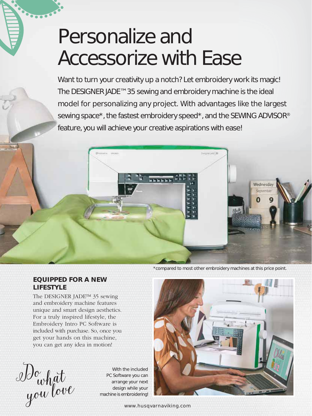## Personalize and Accessorize with Ease

Want to turn your creativity up a notch? Let embroidery work its magic! The DESIGNER JADE™ 35 sewing and embroidery machine is the ideal model for personalizing any project. With advantages like the largest sewing space\*, the fastest embroidery speed\*, and the SEWING ADVISOR® feature, you will achieve your creative aspirations with ease!



#### \*compared to most other embroidery machines at this price point.

#### **EQUIPPED FOR A NEW LIFESTYLE**

The DESIGNER JADE™ 35 sewing and embroidery machine features unique and smart design aesthetics. For a truly inspired lifestyle, the Embroidery Intro PC Software is included with purchase. So, once you get your hands on this machine, you can get any idea in motion!

Do what you love

With the included PC Software you can arrange your next design while your machine is embroidering!



www.husqvarnaviking.com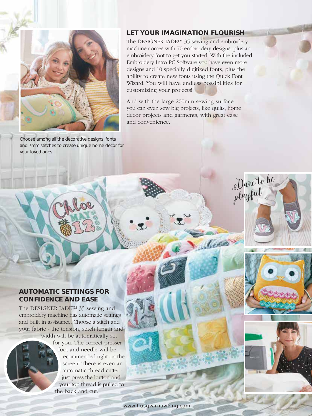

Choose among all the decorative designs, fonts and 7mm stitches to create unique home decor for your loved ones.

#### **LET YOUR IMAGINATION FLOURISH**

The DESIGNER JADE™ 35 sewing and embroidery machine comes with 70 embroidery designs, plus an embroidery font to get you started. With the included Embroidery Intro PC Software you have even more designs and 10 specially digitized fonts, plus the ability to create new fonts using the Quick Font Wizard. You will have endless possibilities for customizing your projects!

And with the large 200mm sewing surface you can even sew big projects, like quilts, home decor projects and garments, with great ease and convenience.

#### **AUTOMATIC SETTINGS FOR CONFIDENCE AND EASE**

The DESIGNER JADE™ 35 sewing and embroidery machine has automatic settings and built in assistance. Choose a stitch and your fabric - the tension, stitch length and

width will be automatically set for you. The correct presser foot and needle will be recommended right on the screen! There is even an automatic thread cutter just press the button and your top thread is pulled to the back and cut.

Dare to be

playful

Centre